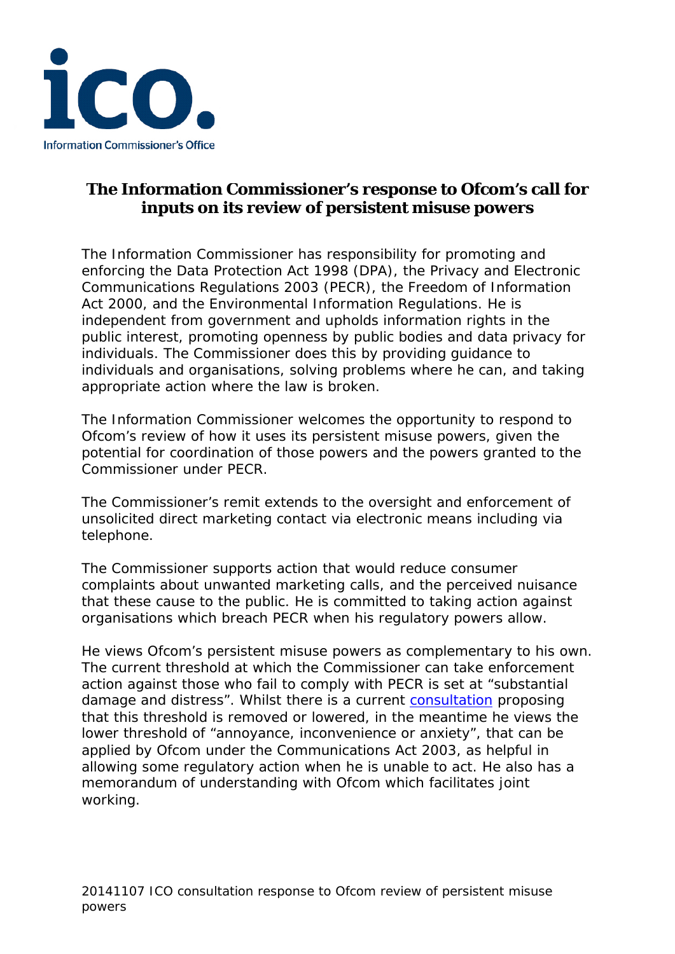

## **The Information Commissioner's response to Ofcom's call for inputs on its review of persistent misuse powers**

The Information Commissioner has responsibility for promoting and enforcing the Data Protection Act 1998 (DPA), the Privacy and Electronic Communications Regulations 2003 (PECR), the Freedom of Information Act 2000, and the Environmental Information Regulations. He is independent from government and upholds information rights in the public interest, promoting openness by public bodies and data privacy for individuals. The Commissioner does this by providing guidance to individuals and organisations, solving problems where he can, and taking appropriate action where the law is broken.

The Information Commissioner welcomes the opportunity to respond to Ofcom's review of how it uses its persistent misuse powers, given the potential for coordination of those powers and the powers granted to the Commissioner under PECR.

The Commissioner's remit extends to the oversight and enforcement of unsolicited direct marketing contact via electronic means including via telephone.

The Commissioner supports action that would reduce consumer complaints about unwanted marketing calls, and the perceived nuisance that these cause to the public. He is committed to taking action against organisations which breach PECR when his regulatory powers allow.

He views Ofcom's persistent misuse powers as complementary to his own. The current threshold at which the Commissioner can take enforcement action against those who fail to comply with PECR is set at "substantial damage and distress". Whilst there is a current [consultation](https://www.gov.uk/government/uploads/system/uploads/attachment_data/file/367498/LOWERING_THE_LEGAL_THRESHOLD__.pdf) proposing that this threshold is removed or lowered, in the meantime he views the lower threshold of "annoyance, inconvenience or anxiety", that can be applied by Ofcom under the Communications Act 2003, as helpful in allowing some regulatory action when he is unable to act. He also has a memorandum of understanding with Ofcom which facilitates joint working.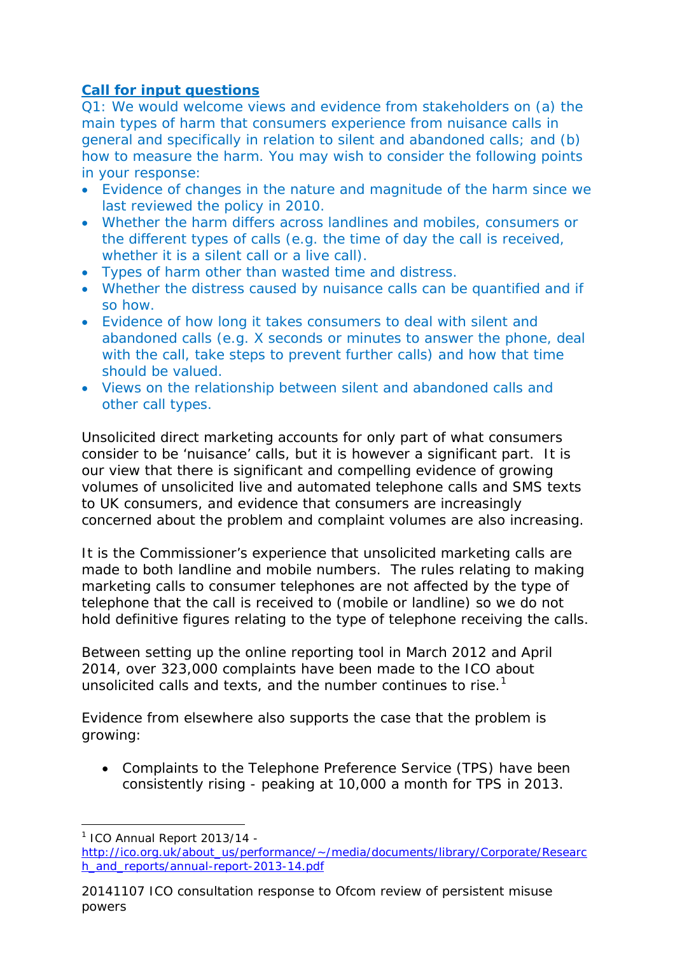## *Call for input questions*

*Q1: We would welcome views and evidence from stakeholders on (a) the main types of harm that consumers experience from nuisance calls in general and specifically in relation to silent and abandoned calls; and (b) how to measure the harm. You may wish to consider the following points in your response:* 

- *Evidence of changes in the nature and magnitude of the harm since we last reviewed the policy in 2010.*
- *Whether the harm differs across landlines and mobiles, consumers or the different types of calls (e.g. the time of day the call is received, whether it is a silent call or a live call).*
- *Types of harm other than wasted time and distress.*
- *Whether the distress caused by nuisance calls can be quantified and if so how.*
- *Evidence of how long it takes consumers to deal with silent and abandoned calls (e.g. X seconds or minutes to answer the phone, deal with the call, take steps to prevent further calls) and how that time should be valued.*
- *Views on the relationship between silent and abandoned calls and other call types.*

Unsolicited direct marketing accounts for only part of what consumers consider to be 'nuisance' calls, but it is however a significant part. It is our view that there is significant and compelling evidence of growing volumes of unsolicited live and automated telephone calls and SMS texts to UK consumers, and evidence that consumers are increasingly concerned about the problem and complaint volumes are also increasing.

It is the Commissioner's experience that unsolicited marketing calls are made to both landline and mobile numbers. The rules relating to making marketing calls to consumer telephones are not affected by the type of telephone that the call is received to (mobile or landline) so we do not hold definitive figures relating to the type of telephone receiving the calls.

Between setting up the online reporting tool in March 2012 and April 2014, over 323,000 complaints have been made to the ICO about unsolicited calls and texts, and the number continues to rise.<sup>[1](#page-1-0)</sup>

Evidence from elsewhere also supports the case that the problem is growing:

• Complaints to the Telephone Preference Service (TPS) have been consistently rising - peaking at 10,000 a month for TPS in 2013.

 $1$  ICO Annual Report 2013/14 --

<span id="page-1-0"></span>[http://ico.org.uk/about\\_us/performance/~/media/documents/library/Corporate/Researc](http://ico.org.uk/about_us/performance/%7E/media/documents/library/Corporate/Research_and_reports/annual-report-2013-14.pdf) [h\\_and\\_reports/annual-report-2013-14.pdf](http://ico.org.uk/about_us/performance/%7E/media/documents/library/Corporate/Research_and_reports/annual-report-2013-14.pdf)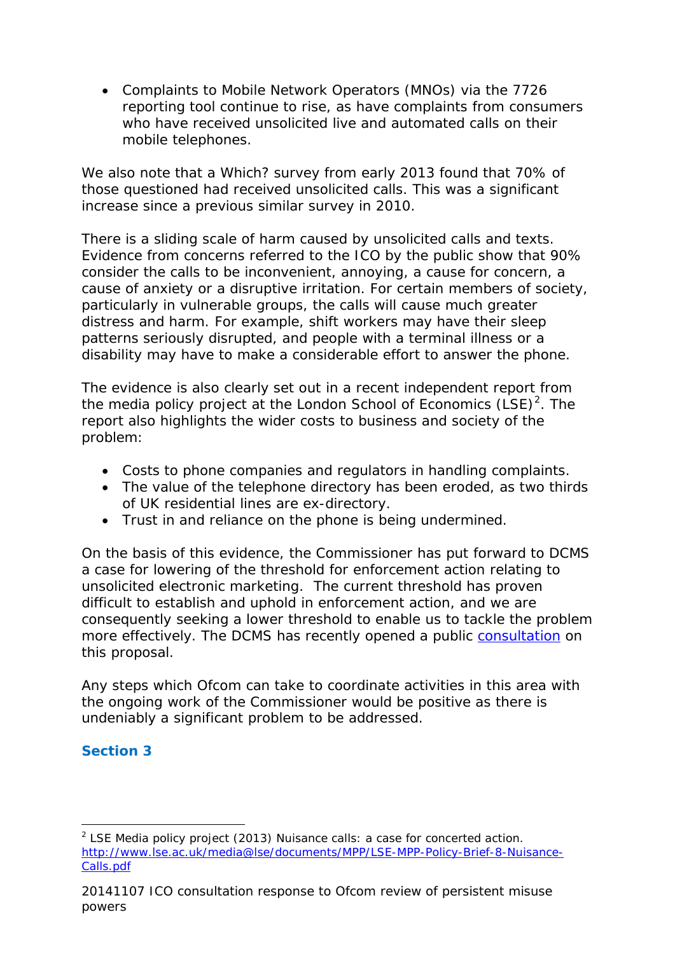• Complaints to Mobile Network Operators (MNOs) via the 7726 reporting tool continue to rise, as have complaints from consumers who have received unsolicited live and automated calls on their mobile telephones.

We also note that a Which? survey from early 2013 found that 70% of those questioned had received unsolicited calls. This was a significant increase since a previous similar survey in 2010.

There is a sliding scale of harm caused by unsolicited calls and texts. Evidence from concerns referred to the ICO by the public show that 90% consider the calls to be inconvenient, annoying, a cause for concern, a cause of anxiety or a disruptive irritation. For certain members of society, particularly in vulnerable groups, the calls will cause much greater distress and harm. For example, shift workers may have their sleep patterns seriously disrupted, and people with a terminal illness or a disability may have to make a considerable effort to answer the phone.

The evidence is also clearly set out in a recent independent report from the media policy project at the London School of Economics  $(LSE)^2$  $(LSE)^2$ . The report also highlights the wider costs to business and society of the problem:

- Costs to phone companies and regulators in handling complaints.
- The value of the telephone directory has been eroded, as two thirds of UK residential lines are ex-directory.
- Trust in and reliance on the phone is being undermined.

On the basis of this evidence, the Commissioner has put forward to DCMS a case for lowering of the threshold for enforcement action relating to unsolicited electronic marketing. The current threshold has proven difficult to establish and uphold in enforcement action, and we are consequently seeking a lower threshold to enable us to tackle the problem more effectively. The DCMS has recently opened a public [consultation](https://www.gov.uk/government/uploads/system/uploads/attachment_data/file/367498/LOWERING_THE_LEGAL_THRESHOLD__.pdf) on this proposal.

Any steps which Ofcom can take to coordinate activities in this area with the ongoing work of the Commissioner would be positive as there is undeniably a significant problem to be addressed.

## *Section 3*

-

<span id="page-2-0"></span> $<sup>2</sup>$  LSE Media policy project (2013) Nuisance calls: a case for concerted action.</sup> [http://www.lse.ac.uk/media@lse/documents/MPP/LSE-MPP-Policy-Brief-8-Nuisance-](http://www.lse.ac.uk/media@lse/documents/MPP/LSE-MPP-Policy-Brief-8-Nuisance-Calls.pdf)[Calls.pdf](http://www.lse.ac.uk/media@lse/documents/MPP/LSE-MPP-Policy-Brief-8-Nuisance-Calls.pdf)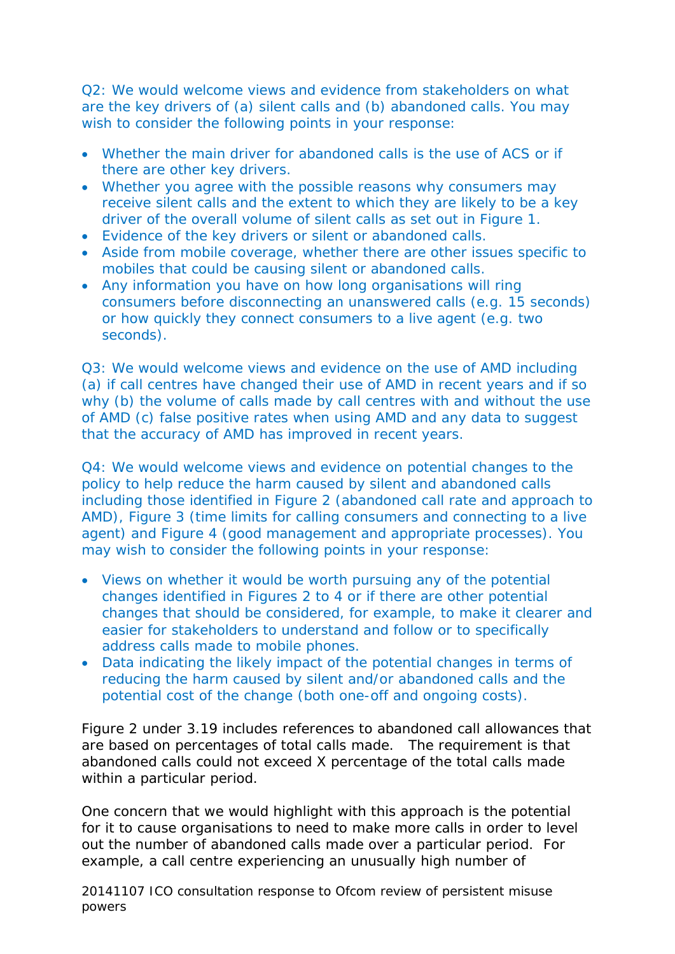*Q2: We would welcome views and evidence from stakeholders on what are the key drivers of (a) silent calls and (b) abandoned calls. You may wish to consider the following points in your response:* 

- *Whether the main driver for abandoned calls is the use of ACS or if there are other key drivers.*
- *Whether you agree with the possible reasons why consumers may receive silent calls and the extent to which they are likely to be a key driver of the overall volume of silent calls as set out in Figure 1.*
- *Evidence of the key drivers or silent or abandoned calls.*
- *Aside from mobile coverage, whether there are other issues specific to mobiles that could be causing silent or abandoned calls.*
- *Any information you have on how long organisations will ring consumers before disconnecting an unanswered calls (e.g. 15 seconds) or how quickly they connect consumers to a live agent (e.g. two seconds).*

*Q3: We would welcome views and evidence on the use of AMD including (a) if call centres have changed their use of AMD in recent years and if so why (b) the volume of calls made by call centres with and without the use of AMD (c) false positive rates when using AMD and any data to suggest that the accuracy of AMD has improved in recent years.* 

*Q4: We would welcome views and evidence on potential changes to the policy to help reduce the harm caused by silent and abandoned calls including those identified in Figure 2 (abandoned call rate and approach to AMD), Figure 3 (time limits for calling consumers and connecting to a live agent) and Figure 4 (good management and appropriate processes). You may wish to consider the following points in your response:* 

- *Views on whether it would be worth pursuing any of the potential changes identified in Figures 2 to 4 or if there are other potential changes that should be considered, for example, to make it clearer and easier for stakeholders to understand and follow or to specifically address calls made to mobile phones.*
- *Data indicating the likely impact of the potential changes in terms of reducing the harm caused by silent and/or abandoned calls and the potential cost of the change (both one-off and ongoing costs).*

Figure 2 under 3.19 includes references to abandoned call allowances that are based on percentages of total calls made. The requirement is that abandoned calls could not exceed X percentage of the total calls made within a particular period.

One concern that we would highlight with this approach is the potential for it to cause organisations to need to make more calls in order to level out the number of abandoned calls made over a particular period. For example, a call centre experiencing an unusually high number of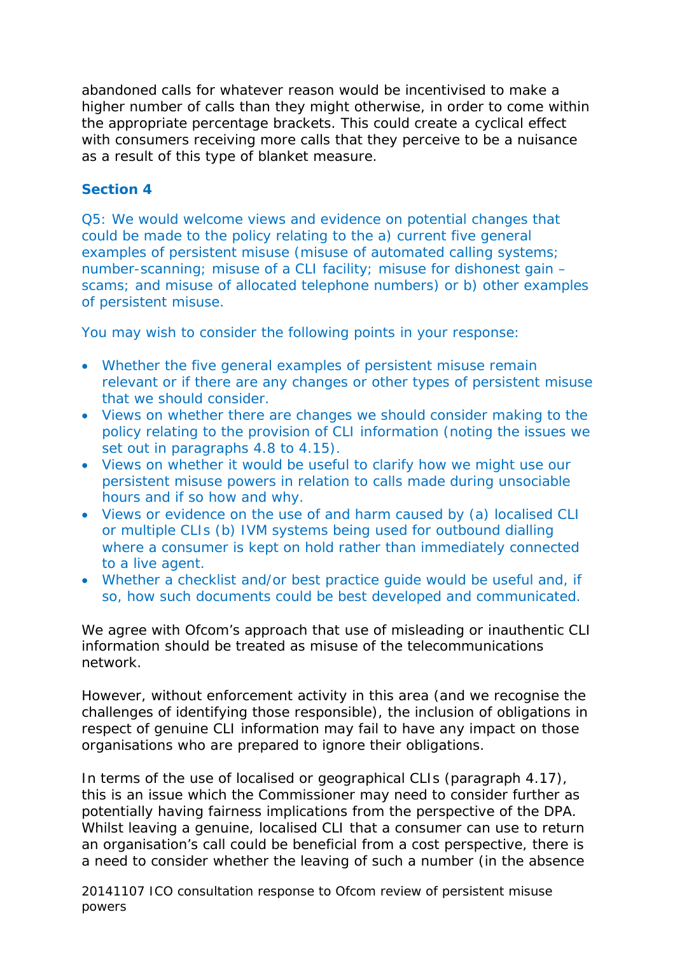abandoned calls for whatever reason would be incentivised to make a higher number of calls than they might otherwise, in order to come within the appropriate percentage brackets. This could create a cyclical effect with consumers receiving more calls that they perceive to be a nuisance as a result of this type of blanket measure.

## *Section 4*

*Q5: We would welcome views and evidence on potential changes that could be made to the policy relating to the a) current five general examples of persistent misuse (misuse of automated calling systems; number-scanning; misuse of a CLI facility; misuse for dishonest gain – scams; and misuse of allocated telephone numbers) or b) other examples of persistent misuse.* 

*You may wish to consider the following points in your response:* 

- *Whether the five general examples of persistent misuse remain relevant or if there are any changes or other types of persistent misuse that we should consider.*
- *Views on whether there are changes we should consider making to the policy relating to the provision of CLI information (noting the issues we set out in paragraphs 4.8 to 4.15).*
- *Views on whether it would be useful to clarify how we might use our persistent misuse powers in relation to calls made during unsociable hours and if so how and why.*
- *Views or evidence on the use of and harm caused by (a) localised CLI or multiple CLIs (b) IVM systems being used for outbound dialling where a consumer is kept on hold rather than immediately connected to a live agent.*
- *Whether a checklist and/or best practice guide would be useful and, if so, how such documents could be best developed and communicated.*

We agree with Ofcom's approach that use of misleading or inauthentic CLI information should be treated as misuse of the telecommunications network.

However, without enforcement activity in this area (and we recognise the challenges of identifying those responsible), the inclusion of obligations in respect of genuine CLI information may fail to have any impact on those organisations who are prepared to ignore their obligations.

In terms of the use of localised or geographical CLIs (paragraph 4.17), this is an issue which the Commissioner may need to consider further as potentially having fairness implications from the perspective of the DPA. Whilst leaving a genuine, localised CLI that a consumer can use to return an organisation's call could be beneficial from a cost perspective, there is a need to consider whether the leaving of such a number (in the absence